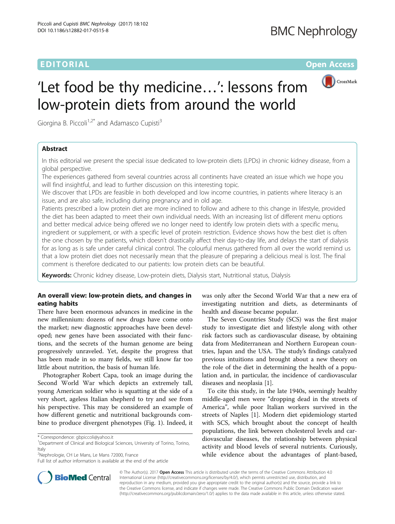# EDITORIAL AND INTERNATIONAL CONTRACT CONTRACT CONTRACT CONTRACT CONTRACT CONTRACT CONTRACT CONTRACT CONTRACT CO



# 'Let food be thy medicine…': lessons from low-protein diets from around the world

Giorgina B. Piccoli<sup>1,2\*</sup> and Adamasco Cupisti<sup>3</sup>

# Abstract

In this editorial we present the special issue dedicated to low-protein diets (LPDs) in chronic kidney disease, from a global perspective.

The experiences gathered from several countries across all continents have created an issue which we hope you will find insightful, and lead to further discussion on this interesting topic.

We discover that LPDs are feasible in both developed and low income countries, in patients where literacy is an issue, and are also safe, including during pregnancy and in old age.

Patients prescribed a low protein diet are more inclined to follow and adhere to this change in lifestyle, provided the diet has been adapted to meet their own individual needs. With an increasing list of different menu options and better medical advice being offered we no longer need to identify low protein diets with a specific menu, ingredient or supplement, or with a specific level of protein restriction. Evidence shows how the best diet is often the one chosen by the patients, which doesn't drastically affect their day-to-day life, and delays the start of dialysis for as long as is safe under careful clinical control. The colourful menus gathered from all over the world remind us that a low protein diet does not necessarily mean that the pleasure of preparing a delicious meal is lost. The final comment is therefore dedicated to our patients: low protein diets can be beautiful.

Keywords: Chronic kidney disease, Low-protein diets, Dialysis start, Nutritional status, Dialysis

# An overall view: low-protein diets, and changes in eating habits

There have been enormous advances in medicine in the new millennium: dozens of new drugs have come onto the market; new diagnostic approaches have been developed; new genes have been associated with their functions, and the secrets of the human genome are being progressively unraveled. Yet, despite the progress that has been made in so many fields, we still know far too little about nutrition, the basis of human life.

Photographer Robert Capa, took an image during the Second World War which depicts an extremely tall, young American soldier who is squatting at the side of a very short, ageless Italian shepherd to try and see from his perspective. This may be considered an example of how different genetic and nutritional backgrounds combine to produce divergent phenotypes (Fig. [1\)](#page-1-0). Indeed, it

<sup>2</sup>Nephrologie, CH Le Mans, Le Mans 72000, France

was only after the Second World War that a new era of investigating nutrition and diets, as determinants of health and disease became popular.

The Seven Countries Study (SCS) was the first major study to investigate diet and lifestyle along with other risk factors such as cardiovascular disease, by obtaining data from Mediterranean and Northern European countries, Japan and the USA. The study's findings catalyzed previous intuitions and brought about a new theory on the role of the diet in determining the health of a population and, in particular, the incidence of cardiovascular diseases and neoplasia [\[1](#page-3-0)].

To cite this study, in the late 1940s, seemingly healthy middle-aged men were "dropping dead in the streets of America", while poor Italian workers survived in the streets of Naples [\[1\]](#page-3-0). Modern diet epidemiology started with SCS, which brought about the concept of health populations, the link between cholesterol levels and cardiovascular diseases, the relationship between physical activity and blood levels of several nutrients. Curiously, while evidence about the advantages of plant-based,



© The Author(s). 2017 **Open Access** This article is distributed under the terms of the Creative Commons Attribution 4.0 International License [\(http://creativecommons.org/licenses/by/4.0/](http://creativecommons.org/licenses/by/4.0/)), which permits unrestricted use, distribution, and reproduction in any medium, provided you give appropriate credit to the original author(s) and the source, provide a link to the Creative Commons license, and indicate if changes were made. The Creative Commons Public Domain Dedication waiver [\(http://creativecommons.org/publicdomain/zero/1.0/](http://creativecommons.org/publicdomain/zero/1.0/)) applies to the data made available in this article, unless otherwise stated.

<sup>\*</sup> Correspondence: [gbpiccoli@yahoo.it](mailto:gbpiccoli@yahoo.it) <sup>1</sup>

<sup>&</sup>lt;sup>1</sup>Department of Clinical and Biological Sciences, University of Torino, Torino, Italy

Full list of author information is available at the end of the article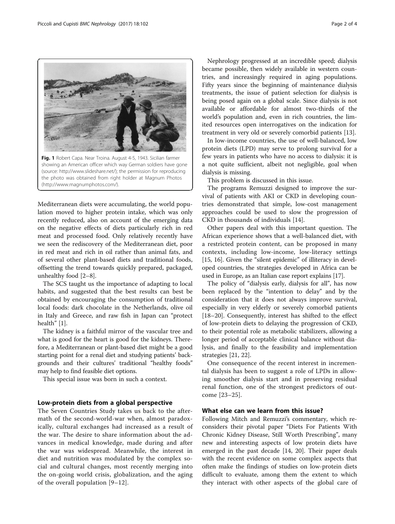<span id="page-1-0"></span>

Fig. 1 Robert Capa. Near Troina. August 4-5, 1943. Sicilian farmer showing an American officer which way German soldiers have gone (source: [http://www.slideshare.net/\)](http://www.slideshare.net/); the permission for reproducing the photo was obtained from right holder at Magnum Photos ([http://www.magnumphotos.com/\)](http://www.magnumphotos.com/).

Mediterranean diets were accumulating, the world population moved to higher protein intake, which was only recently reduced, also on account of the emerging data on the negative effects of diets particularly rich in red meat and processed food. Only relatively recently have we seen the rediscovery of the Mediterranean diet, poor in red meat and rich in oil rather than animal fats, and of several other plant-based diets and traditional foods, offsetting the trend towards quickly prepared, packaged, unhealthy food [\[2](#page-3-0)–[8](#page-3-0)].

The SCS taught us the importance of adapting to local habits, and suggested that the best results can best be obtained by encouraging the consumption of traditional local foods: dark chocolate in the Netherlands, olive oil in Italy and Greece, and raw fish in Japan can "protect health" [[1](#page-3-0)].

The kidney is a faithful mirror of the vascular tree and what is good for the heart is good for the kidneys. Therefore, a Mediterranean or plant-based diet might be a good starting point for a renal diet and studying patients' backgrounds and their cultures' traditional "healthy foods" may help to find feasible diet options.

This special issue was born in such a context.

#### Low-protein diets from a global perspective

The Seven Countries Study takes us back to the aftermath of the second-world-war when, almost paradoxically, cultural exchanges had increased as a result of the war. The desire to share information about the advances in medical knowledge, made during and after the war was widespread. Meanwhile, the interest in diet and nutrition was modulated by the complex social and cultural changes, most recently merging into the on-going world crisis, globalization, and the aging of the overall population [[9](#page-3-0)–[12](#page-3-0)].

Nephrology progressed at an incredible speed; dialysis became possible, then widely available in western countries, and increasingly required in aging populations. Fifty years since the beginning of maintenance dialysis treatments, the issue of patient selection for dialysis is being posed again on a global scale. Since dialysis is not available or affordable for almost two-thirds of the world's population and, even in rich countries, the limited resources open interrogatives on the indication for treatment in very old or severely comorbid patients [[13\]](#page-3-0).

In low-income countries, the use of well-balanced, low protein diets (LPD) may serve to prolong survival for a few years in patients who have no access to dialysis: it is a not quite sufficient, albeit not negligible, goal when dialysis is missing.

This problem is discussed in this issue.

The programs Remuzzi designed to improve the survival of patients with AKI or CKD in developing countries demonstrated that simple, low-cost management approaches could be used to slow the progression of CKD in thousands of individuals [\[14](#page-3-0)].

Other papers deal with this important question. The African experience shows that a well-balanced diet, with a restricted protein content, can be proposed in many contexts, including low-income, low-literacy settings [[15](#page-3-0), [16](#page-3-0)]. Given the "silent epidemic" of illiteracy in developed countries, the strategies developed in Africa can be used in Europe, as an Italian case report explains [\[17\]](#page-3-0).

The policy of "dialysis early, dialysis for all", has now been replaced by the "intention to delay" and by the consideration that it does not always improve survival, especially in very elderly or severely comorbid patients [[18](#page-3-0)–[20](#page-3-0)]. Consequently, interest has shifted to the effect of low-protein diets to delaying the progression of CKD, to their potential role as metabolic stabilizers, allowing a longer period of acceptable clinical balance without dialysis, and finally to the feasibility and implementation strategies [[21, 22\]](#page-3-0).

One consequence of the recent interest in incremental dialysis has been to suggest a role of LPDs in allowing smoother dialysis start and in preserving residual renal function, one of the strongest predictors of outcome [\[23](#page-3-0)–[25](#page-3-0)].

## What else can we learn from this issue?

Following Mitch and Remuzzi's commentary, which reconsiders their pivotal paper "Diets For Patients With Chronic Kidney Disease, Still Worth Prescribing", many new and interesting aspects of low protein diets have emerged in the past decade [\[14](#page-3-0), [20](#page-3-0)]. Their paper deals with the recent evidence on some complex aspects that often make the findings of studies on low-protein diets difficult to evaluate, among them the extent to which they interact with other aspects of the global care of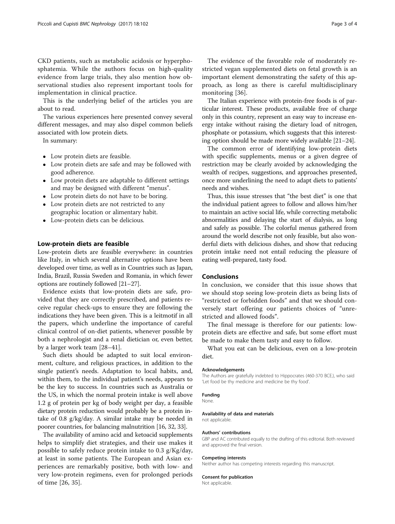CKD patients, such as metabolic acidosis or hyperphosphatemia. While the authors focus on high-quality evidence from large trials, they also mention how observational studies also represent important tools for implementation in clinical practice.

This is the underlying belief of the articles you are about to read.

The various experiences here presented convey several different messages, and may also dispel common beliefs associated with low protein diets.

In summary:

- Low protein diets are feasible.
- Low protein diets are safe and may be followed with good adherence.
- Low protein diets are adaptable to different settings and may be designed with different "menus".
- Low protein diets do not have to be boring.
- Low protein diets are not restricted to any geographic location or alimentary habit.
- Low-protein diets can be delicious.

#### Low-protein diets are feasible

Low-protein diets are feasible everywhere: in countries like Italy, in which several alternative options have been developed over time, as well as in Countries such as Japan, India, Brazil, Russia Sweden and Romania, in which fewer options are routinely followed [\[21](#page-3-0)–[27](#page-3-0)].

Evidence exists that low-protein diets are safe, provided that they are correctly prescribed, and patients receive regular check-ups to ensure they are following the indications they have been given. This is a leitmotif in all the papers, which underline the importance of careful clinical control of on-diet patients, whenever possible by both a nephrologist and a renal dietician or, even better, by a larger work team [[28](#page-3-0)–[41](#page-3-0)].

Such diets should be adapted to suit local environment, culture, and religious practices, in addition to the single patient's needs. Adaptation to local habits, and, within them, to the individual patient's needs, appears to be the key to success. In countries such as Australia or the US, in which the normal protein intake is well above 1.2 g of protein per kg of body weight per day, a feasible dietary protein reduction would probably be a protein intake of 0.8 g/kg/day. A similar intake may be needed in poorer countries, for balancing malnutrition [[16, 32, 33](#page-3-0)].

The availability of amino acid and ketoacid supplements helps to simplify diet strategies, and their use makes it possible to safely reduce protein intake to 0.3 g/Kg/day, at least in some patients. The European and Asian experiences are remarkably positive, both with low- and very low-protein regimens, even for prolonged periods of time [[26, 35\]](#page-3-0).

The evidence of the favorable role of moderately restricted vegan supplemented diets on fetal growth is an important element demonstrating the safety of this approach, as long as there is careful multidisciplinary monitoring [[36\]](#page-3-0).

The Italian experience with protein-free foods is of particular interest. These products, available free of charge only in this country, represent an easy way to increase energy intake without raising the dietary load of nitrogen, phosphate or potassium, which suggests that this interesting option should be made more widely available [[21](#page-3-0)–[24\]](#page-3-0).

The common error of identifying low-protein diets with specific supplements, menus or a given degree of restriction may be clearly avoided by acknowledging the wealth of recipes, suggestions, and approaches presented, once more underlining the need to adapt diets to patients' needs and wishes.

Thus, this issue stresses that "the best diet" is one that the individual patient agrees to follow and allows him/her to maintain an active social life, while correcting metabolic abnormalities and delaying the start of dialysis, as long and safely as possible. The colorful menus gathered from around the world describe not only feasible, but also wonderful diets with delicious dishes, and show that reducing protein intake need not entail reducing the pleasure of eating well-prepared, tasty food.

### Conclusions

In conclusion, we consider that this issue shows that we should stop seeing low-protein diets as being lists of "restricted or forbidden foods" and that we should conversely start offering our patients choices of "unrestricted and allowed foods".

The final message is therefore for our patients: lowprotein diets are effective and safe, but some effort must be made to make them tasty and easy to follow.

What you eat can be delicious, even on a low-protein diet.

#### Acknowledgements

The Authors are gratefully indebted to Hippocrates (460-370 BCE.), who said 'Let food be thy medicine and medicine be thy food'.

Funding

#### None.

#### Availability of data and materials

not applicable.

#### Authors' contributions

GBP and AC contributed equally to the drafting of this editorial. Both reviewed and approved the final version.

#### Competing interests

Neither author has competing interests regarding this manuscript.

#### Consent for publication

Not applicable.